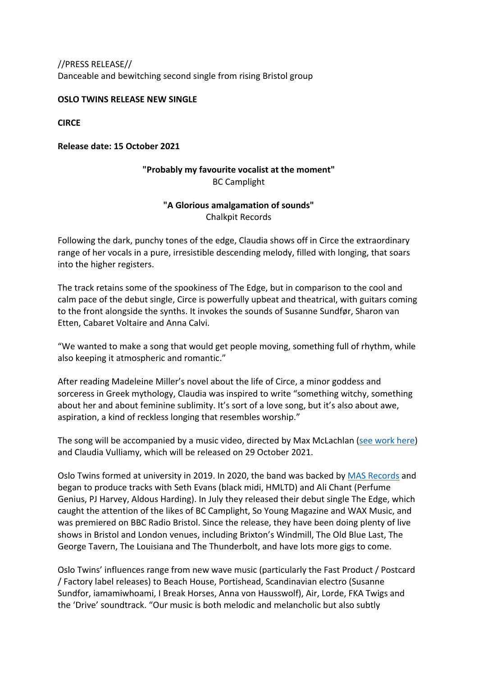//PRESS RELEASE// Danceable and bewitching second single from rising Bristol group

### **OSLO TWINS RELEASE NEW SINGLE**

**CIRCE**

### **Release date: 15 October 2021**

# **"Probably my favourite vocalist at the moment"** BC Camplight

# **"A Glorious amalgamation of sounds"** Chalkpit Records

Following the dark, punchy tones of the edge, Claudia shows off in Circe the extraordinary range of her vocals in a pure, irresistible descending melody, filled with longing, that soars into the higher registers.

The track retains some of the spookiness of The Edge, but in comparison to the cool and calm pace of the debut single, Circe is powerfully upbeat and theatrical, with guitars coming to the front alongside the synths. It invokes the sounds of Susanne Sundfør, Sharon van Etten, Cabaret Voltaire and Anna Calvi.

"We wanted to make a song that would get people moving, something full of rhythm, while also keeping it atmospheric and romantic."

After reading Madeleine Miller's novel about the life of Circe, a minor goddess and sorceress in Greek mythology, Claudia was inspired to write "something witchy, something about her and about feminine sublimity. It's sort of a love song, but it's also about awe, aspiration, a kind of reckless longing that resembles worship."

The song will be accompanied by a music video, directed by Max McLachlan (see work here) and Claudia Vulliamy, which will be released on 29 October 2021.

Oslo Twins formed at university in 2019. In 2020, the band was backed by MAS Records and began to produce tracks with Seth Evans (black midi, HMLTD) and Ali Chant (Perfume Genius, PJ Harvey, Aldous Harding). In July they released their debut single The Edge, which caught the attention of the likes of BC Camplight, So Young Magazine and WAX Music, and was premiered on BBC Radio Bristol. Since the release, they have been doing plenty of live shows in Bristol and London venues, including Brixton's Windmill, The Old Blue Last, The George Tavern, The Louisiana and The Thunderbolt, and have lots more gigs to come.

Oslo Twins' influences range from new wave music (particularly the Fast Product / Postcard / Factory label releases) to Beach House, Portishead, Scandinavian electro (Susanne Sundfor, iamamiwhoami, I Break Horses, Anna von Hausswolf), Air, Lorde, FKA Twigs and the 'Drive' soundtrack. "Our music is both melodic and melancholic but also subtly